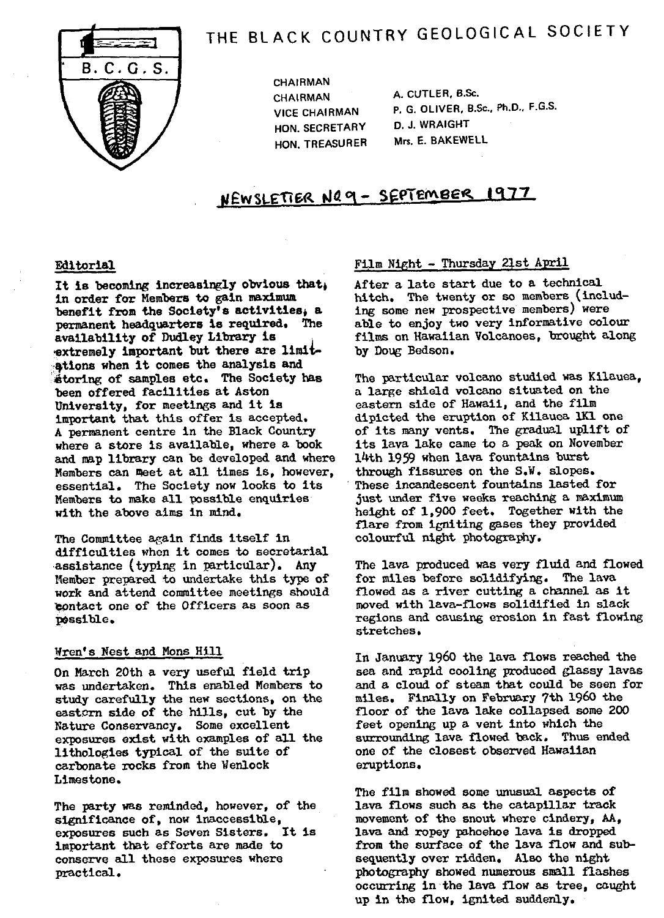

# THE BLACK COUNTRY GEOLOGICAL SOCIETY

CHAIRMAN CHAIRMAN A. CUTLER, B.Sc.<br>VICE CHAIRMAN P. G. OLIVER, B.S. HON. TREASURER

P. G. OLIVER, B.Sc., Ph.D., F.G.S.<br>D. J. WRAIGHT HON. SECRETARY D. J. WRAIGHT

## $NEW$   $SE$  TIER  $NQ - SE$   $PEM$   $BER$   $1977$

## **Editorial**

It is becoming increasingly obvious that. **in order for Members to gain maximum benefit from the Society's activities i a** permanent headquarters **is required.** The **availability of Dudley Library is extremely** important but there are **limit 4tions when it** comes **the analysis and** toning of samples etc, The Society has been offered facilities at Aston **University,** for meetings and it is important that this offer is accepted. A permanent centre in the Black Country where a store is available, where a book and map library can be developed and where Members can Meet at **all** times **is,** however, essential. The Society now looks to its Members to make all possible enquiries with the above aims in mind.

The Committee again finds itself in difficulties when it comes to secretarial assistance (typing In particular). Any Member prepared to undertake this type of work and attend committee meetings should contact one of the Officers as soon as possible.

## Wren's Nest and Mons Hill

On March 20th a very useful field trip was undertaken. This enabled Members to study carefully the new sections, on the eastern **side** of the hills, cut by the Nature Conservancy. Some excellent exposures **exist** with examples of all the lithologies typical of the suite of carbonate rocks from the Wenlock Limestone.

The party was reminded, however, of the significance of, now inaccessible, exposures such as Seven Sisters. It is important that efforts are made to **conserve all** these exposures where practical.

## Film Night - Thursday 21st April

After a late start due to a technical hitch. The twenty or so members (including some new prospective members) were able to enjoy two very informative colour films on Hawaiian Volcanoes, brought along by Doug Bedson.

The particular volcano studied was Kilauea, a large shield volcano situated on the eastern side of Hawaii, and the film dipicted the eruption of Kilauea 1KI one of its many vents. The gradual uplift of its lava lake came to a peak on November 14th 1959 when lava fountains burst through fissures on the S.W• slopes. These incandescent fountains lasted for just under five weeks reaching a maximum height of 1,900 feet. Together with the flare from igniting gases they provided colourful night photography.

The lava produced was very fluid and flowed for miles before solidifying. The lava flowed as a river cutting a channel as it moved with lava-flows solidified in slack regions and causing erosion in fast flowing stretches.

In January 1960 the lava flows reached the sea and rapid cooling produced glassy lavas and a cloud of steam that could be seen for miles. Finally on February 7th 1960 the floor of the lava lake collapsed some 200 feet opening up a vent into which the surrounding lava flowed back. Thus ended one of the closest observed Hawaiian eruptions.

The film showed some unusual aspects of lava flows such as the catapillar track movement of the snout where cindery, AA, lava and ropey pahoehoe lava is dropped from the surface of the lava flow and subsequently over ridden. Also the night photography showed numerous small flashes occurring **in** the lava flow as tree, caught **up in** the flow, Ignited suddenly.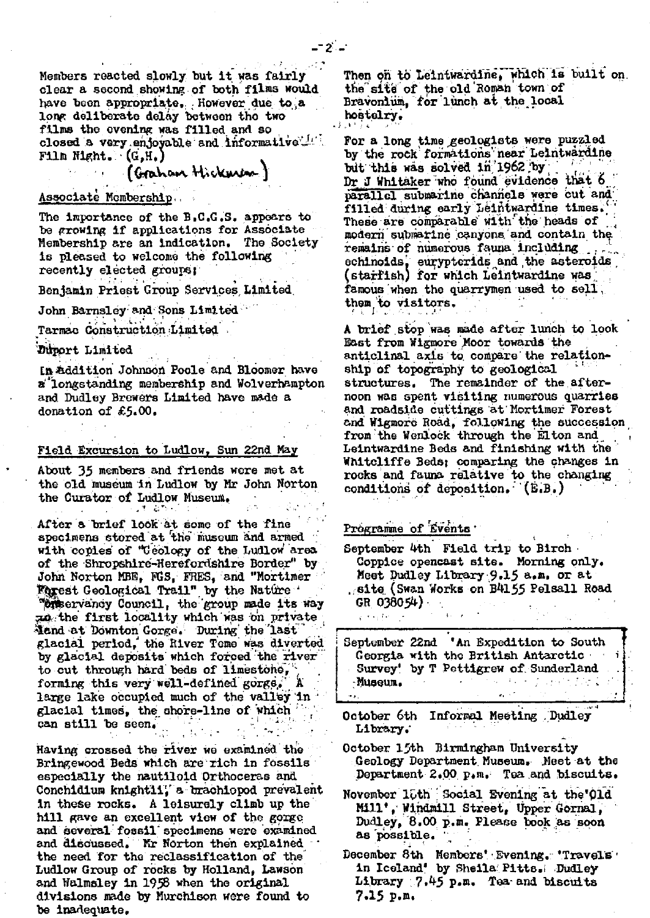Members reacted **slowly** but it was fairly clear a second showing of both films would have been appropriate. However due to a **long deliberate delay** between tho **two** films the evening **was filled** and so . closed a very enjoyable and informative L. Film Night. (G,H.)

#### Associate Membership...

The importance of the **B.C.G.S.** appears to be growing if applications for Associate<br>Membership are an indication. The Society Membership are an indication. is pleased to welcome the following recently elected groups;

Benjamin Priest Group Services, Limited,

John Barnsley and Sons Limited

Tarmac Construction: Limited

Duport Limited

**Cn** addition Johnoon Poole and Bloomer have a'longstanding membership and Wolverhampton and Dudley Brewers Limited have made a donation of  $£5.00.$ 

#### Field Excursion to Ludlow, Sun 22nd May

About 35 members and friends wore met at the old museum **in Ludlow by** Mr John Norton the Curator of Ludlow Museum.

After a brief look at some of the fine *specimens stored at the ' museum* and armed *with copies of "Geology* of the Ludlow, area *of the* -Shropshire-Herefort **shire Border"' by** John Norton MBE, FGS, FRES, and "Mortimer **Parest Geological Trail"** by the Nature ' **Oi erv<sup>a</sup> ney Council, the group made its way** and the first locality which was on private -land at Downton' Gorge. During' the **`last glacial period, the** River Tome was diverted. by glacial deposits which forced the river. to cut through hard beds of limestone, forming this very well-defined gorge, large lake occupied much of the **valley In'** glacial times, the shore-line of which can still be seen.

Having crossed the river we examined the Bringewood Beds which are rich in fossils especially the nautiloid Orthoceras and Conchidium **knightii;''a-** brachiopod **prevalent** in these **rocks. A leisurely climb up the hill gave an excellent view of** the gorge and several fossil specimens were examined and discussed. Mr Norton then explained the need for the reclassification of the Ludlow Group of rocks by Holland, Lawson and **Nalmeley in** 1958 when the original **divisions made by** Murohieon were found to be inadequate.

Then on to Leiniwardine, which is built on. **the site** of the , old "Roman town of Bravoniwn, for lunch at the local hostelry.

For a long time geologiats were puzzled by the rock formations near Leintwardine but this was solved in 1962 by Dr J Whitaker who found evidence that 6 parallel submarine channels were out and' filled during early Leintwardine times. These are comparable with the heads of modern submarine canyons and contain the remains of numerous fauna including echinoids eurypterids and the asteroids (starfish) for which Leintwardine was famous when the quarrymen used to sell. them to visitors.

A brief stop was made after lunch to look East from Wigmore Moor towards the anticlinal axis to compare the relationship of topography to geological structures. The remainder of the afternoon was spent visiting numerous quarries and roadside cuttings' at Mortimer Forest and Wigmore Road, following the succession from the Wenlock through the Elton and Leintwardine Beds and finishing with the Whiteliffe Beds; comparing the changes in rooks and fauna relative to the changing conditions of deposition.  $(E.B.)$ 

Programme of Events .

September 4th Field trip to Birch Coppice opencast site. Morning only. Neet Dudley Library 9.15 a.m. or at .. site" (Swan Works on B4155 Pelsall Road GR 038054)-

|          | September 22nd 'An Expedition to South |  |
|----------|----------------------------------------|--|
|          | Georgia with the British Antarctic (1) |  |
|          | Survey' by T Pettigrew of Sunderland   |  |
| -Museum. | ディー・ディスティー たいかたびえ 新生                   |  |
|          |                                        |  |

October 6th Informal. Meeting . Dudley Library..

- October 15th Birmingham University Geology Department Museum. Meet at the Department  $2.00$   $p.m.$  Tea and biscuits.
- November 15th Social Evening at the 'Old Mill', Windmill Street, Upper Gornal, Dudley, 8.00 p.m. Please book as soon as - possible. ' y

December 8th Members'. Evening. 'Travels' in Iceland' by Sheila' Pitts. Dudley Library 7.45 p.m. Tea and biscuits 7.15 p.m.